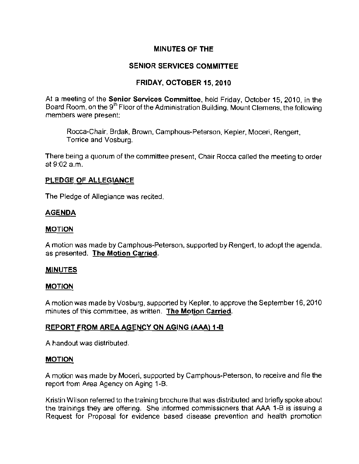## MINUTES OF THE

## SENIOR SERVICES COMMITTEE

### FRIDAY, OCTOBER 15, 2010

At a meeting of the Senior Services Committee, held Friday, October 15, 2010, in the Board Room, on the 9<sup>th</sup> Floor of the Administration Building, Mount Clemens, the following members were present:

Rocca-Chair, Brdak, Brown, Camphous-Peterson, Kepler, Moceri, Rengert, Torrice and Vosburg.

There being a quorum of the committee present, Chair Rocca called the meeting to order at  $9:02$  a.m.

### PLEDGE OF ALLEGIANCE

The Pledge of Allegiance was recited.

#### AGENDA

#### MOTION

A motion was made by Camphous-Peterson, supported by Rengert, to adopt the agenda, as presented. The Motion Carried.

#### **MINUTES**

#### MOTION

A motion was made by Vosburg, supported by Kepler, to approve the September 16, 2010 minutes of this committee, as written. The Motion Carried.

### REPORT FROM AREA AGENCY ON AGING (AAA) 1-B

A handout was distributed.

#### **MOTION**

A motion was made by Moceri, supported by Camphous-Peterson, to receive and file the report from Area Agency on Aging 1-B.

Kristin Wilson referred to the training brochure that was distributed and briefly spoke about the trainings they are offering. She informed commissioners that AAA 1-B is issuing a Request for Proposal for evidence based disease prevention and health promotion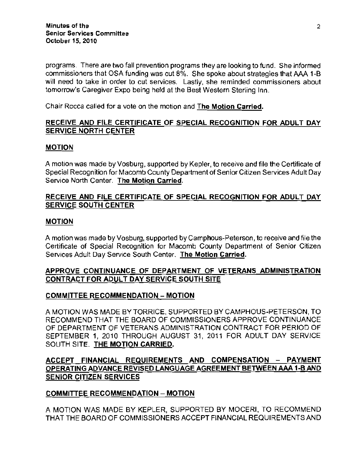programs. There are two fall prevention programs they are looking to fund. She informed commissioners that OSA funding was cut 8%. She spoke about strategies that AAA 1-B **will need to take in order to cut services. Lastly, she reminded commissioners about**  tomorrow's Caregiver Expo being held at the Best Western Sterling Inn.

**Chair Rocca called for a vote on the motion and The Motion Carried.** 

## RECEIVE AND FilE CERTIFICATE OF SPECIAL RECOGNITION FOR ADULT DAY SERVICE NORTH CENTER

## MOTION

A motion was made by Vosburg, supported by Kepler, to receive and file the Certificate of Special Recognition for Macomb County Department of Senior Citizen Services Adult Day Service North Center. The Motion Carried.

## RECEIVE AND FILE CERTIFICATE OF SPECIAL RECOGNITION FOR ADULT DAY **SERVICE SOUTH CENTER**

### MOTION

A motion was made by Vosburg, supported by Camphous-Peterson, to receive and file the Certificate of Special Recognition for Macomb County Department of Senior Citizen Services Adult Day Service South Center. The Motion Carried.

## APPROVE CONTINUANCE OF DEPARTMENT OF VETERANS ADMINISTRATION CONTRACT FOR ADULT DAY SERVICE SOUTH SITE

### COMMITTEE RECOMMENDATION - MOTION

A MOTION WAS MADE BY TORRICE, SUPPORTED BY CAMPHOUS-PETERSON, TO RECOMMEND THAT THE BOARD OF COMMISSIONERS APPROVE CONTINUANCE OF DEPARTMENT OF VETERANS ADMINISTRATION CONTRACT FOR PERIOD OF SEPTEMBER 1, 2010 THROUGH AUGUST 31, 2011 FOR ADULT DAY SERVICE SOUTH SITE. THE MOTION CARRIED.

## ACCEPT FINANCIAL REQUIREMENTS AND COMPENSATION - PAYMENT OPERATING ADVANCE REVISED LANGUAGE AGREEMENT BETWEEN AAA 1-B AND SENIOR CITIZEN SERVICES

### COMMITTEE RECOMMENDATION - MOTION

A MOTION WAS MADE BY KEPLER, SUPPORTED BY MOCERI, TO RECOMMEND THAT THE BOARD OF COMMISSIONERS ACCEPT FiNANCIAL REQUIREMENTS AND